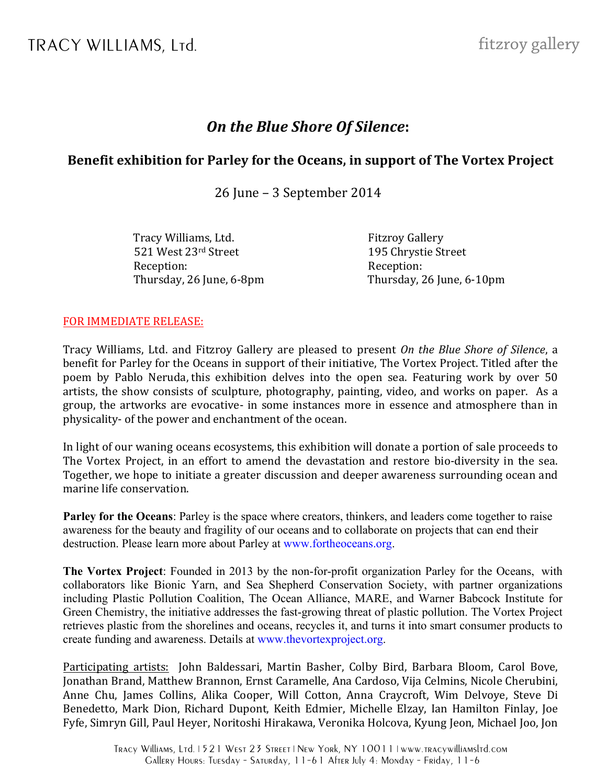TRACY WILLIAMS, Ltd.

## *On the Blue Shore Of Silence:*

## **Benefit exhibition for Parley for the Oceans, in support of The Vortex Project**

26 June - 3 September 2014

 Tracy Williams, Ltd. Fitzroy Gallery 521 West 23<sup>rd</sup> Street 2001 195 Chrystie Street Reception: **Reception:** 

Thursday, 26 June, 6-8pm Thursday, 26 June, 6-10pm

## FOR IMMEDIATE RELEASE:

Tracy Williams, Ltd. and Fitzroy Gallery are pleased to present *On the Blue Shore of Silence*, a benefit for Parley for the Oceans in support of their initiative, The Vortex Project. Titled after the poem by Pablo Neruda, this exhibition delves into the open sea. Featuring work by over 50 artists, the show consists of sculpture, photography, painting, video, and works on paper. As a group, the artworks are evocative- in some instances more in essence and atmosphere than in physicality- of the power and enchantment of the ocean.

In light of our waning oceans ecosystems, this exhibition will donate a portion of sale proceeds to The Vortex Project, in an effort to amend the devastation and restore bio-diversity in the sea. Together, we hope to initiate a greater discussion and deeper awareness surrounding ocean and marine life conservation.

**Parley for the Oceans**: Parley is the space where creators, thinkers, and leaders come together to raise awareness for the beauty and fragility of our oceans and to collaborate on projects that can end their destruction. Please learn more about Parley at www.fortheoceans.org.

**The Vortex Project**: Founded in 2013 by the non-for-profit organization Parley for the Oceans, with collaborators like Bionic Yarn, and Sea Shepherd Conservation Society, with partner organizations including Plastic Pollution Coalition, The Ocean Alliance, MARE, and Warner Babcock Institute for Green Chemistry, the initiative addresses the fast-growing threat of plastic pollution. The Vortex Project retrieves plastic from the shorelines and oceans, recycles it, and turns it into smart consumer products to create funding and awareness. Details at www.thevortexproject.org.

Participating artists: John Baldessari, Martin Basher, Colby Bird, Barbara Bloom, Carol Bove, Jonathan Brand, Matthew Brannon, Ernst Caramelle, Ana Cardoso, Vija Celmins, Nicole Cherubini, Anne Chu, James Collins, Alika Cooper, Will Cotton, Anna Craycroft, Wim Delvoye, Steve Di Benedetto, Mark Dion, Richard Dupont, Keith Edmier, Michelle Elzay, Ian Hamilton Finlay, Joe Fyfe, Simryn Gill, Paul Heyer, Noritoshi Hirakawa, Veronika Holcova, Kyung Jeon, Michael Joo, Jon